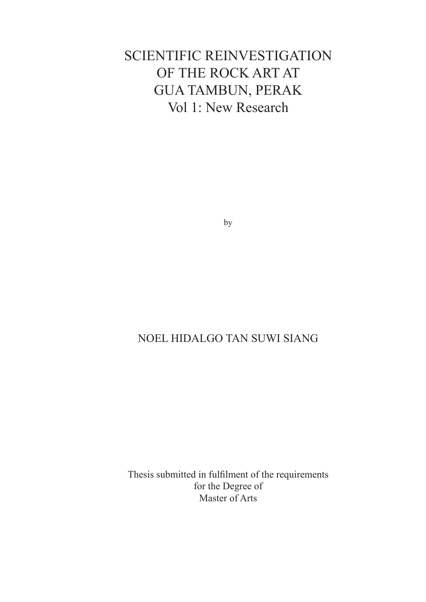# SCIENTIFIC REINVESTIGATION OF THE ROCK ART AT GUA TAMBUN, PERAK Vol 1: New Research

by

## NOEL HIDALGO TAN SUWI SIANG

Thesis submitted in fulfilment of the requirements for the Degree of Master of Arts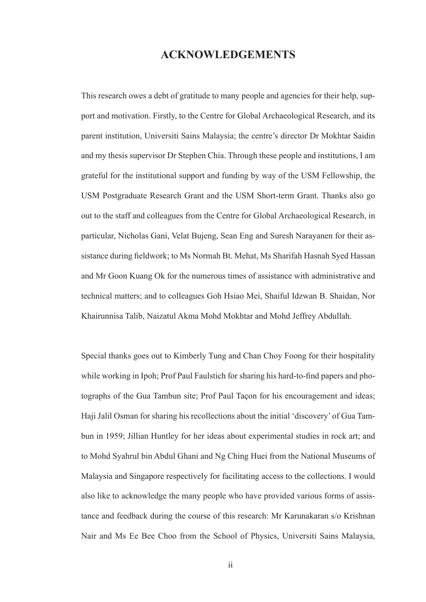### **ACKNOWLEDGEMENTS**

This research owes a debt of gratitude to many people and agencies for their help, support and motivation. Firstly, to the Centre for Global Archaeological Research, and its parent institution, Universiti Sains Malaysia; the centre's director Dr Mokhtar Saidin and my thesis supervisor Dr Stephen Chia. Through these people and institutions, I am grateful for the institutional support and funding by way of the USM Fellowship, the USM Postgraduate Research Grant and the USM Short-term Grant. Thanks also go out to the staff and colleagues from the Centre for Global Archaeological Research, in particular, Nicholas Gani, Velat Bujeng, Sean Eng and Suresh Narayanen for their assistance during fieldwork; to Ms Normah Bt. Mehat, Ms Sharifah Hasnah Syed Hassan and Mr Goon Kuang Ok for the numerous times of assistance with administrative and technical matters; and to colleagues Goh Hsiao Mei, Shaiful Idzwan B. Shaidan, Nor Khairunnisa Talib, Naizatul Akma Mohd Mokhtar and Mohd Jeffrey Abdullah.

Special thanks goes out to Kimberly Tung and Chan Choy Foong for their hospitality while working in Ipoh; Prof Paul Faulstich for sharing his hard-to-find papers and photographs of the Gua Tambun site; Prof Paul Taçon for his encouragement and ideas; Haji Jalil Osman for sharing his recollections about the initial 'discovery' of Gua Tambun in 1959; Jillian Huntley for her ideas about experimental studies in rock art; and to Mohd Syahrul bin Abdul Ghani and Ng Ching Huei from the National Museums of Malaysia and Singapore respectively for facilitating access to the collections. I would also like to acknowledge the many people who have provided various forms of assistance and feedback during the course of this research: Mr Karunakaran s/o Krishnan Nair and Ms Ee Bee Choo from the School of Physics, Universiti Sains Malaysia,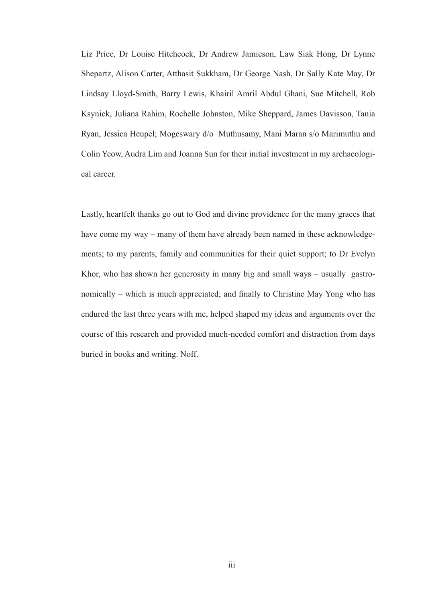Liz Price, Dr Louise Hitchcock, Dr Andrew Jamieson, Law Siak Hong, Dr Lynne Shepartz, Alison Carter, Atthasit Sukkham, Dr George Nash, Dr Sally Kate May, Dr Lindsay Lloyd-Smith, Barry Lewis, Khairil Amril Abdul Ghani, Sue Mitchell, Rob Ksynick, Juliana Rahim, Rochelle Johnston, Mike Sheppard, James Davisson, Tania Ryan, Jessica Heupel; Mogeswary d/o Muthusamy, Mani Maran s/o Marimuthu and Colin Yeow, Audra Lim and Joanna Sun for their initial investment in my archaeological career.

Lastly, heartfelt thanks go out to God and divine providence for the many graces that have come my way – many of them have already been named in these acknowledgements; to my parents, family and communities for their quiet support; to Dr Evelyn Khor, who has shown her generosity in many big and small ways – usually gastronomically – which is much appreciated; and finally to Christine May Yong who has endured the last three years with me, helped shaped my ideas and arguments over the course of this research and provided much-needed comfort and distraction from days buried in books and writing. Noff.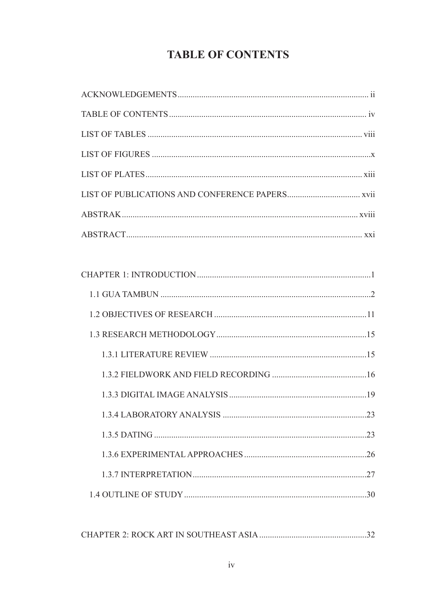# **TABLE OF CONTENTS**

| 30 |
|----|
|    |

|--|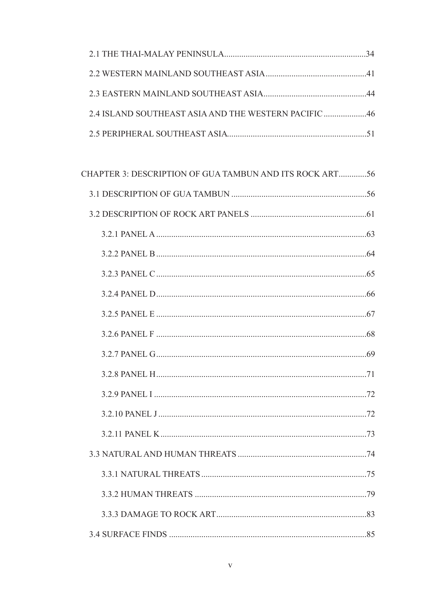| 2.4 ISLAND SOUTHEAST ASIA AND THE WESTERN PACIFIC 46 |  |
|------------------------------------------------------|--|
|                                                      |  |

| CHAPTER 3: DESCRIPTION OF GUA TAMBUN AND ITS ROCK ART56 |  |
|---------------------------------------------------------|--|
|                                                         |  |
|                                                         |  |
|                                                         |  |
|                                                         |  |
|                                                         |  |
|                                                         |  |
|                                                         |  |
|                                                         |  |
|                                                         |  |
|                                                         |  |
|                                                         |  |
|                                                         |  |
|                                                         |  |
|                                                         |  |
|                                                         |  |
|                                                         |  |
|                                                         |  |
|                                                         |  |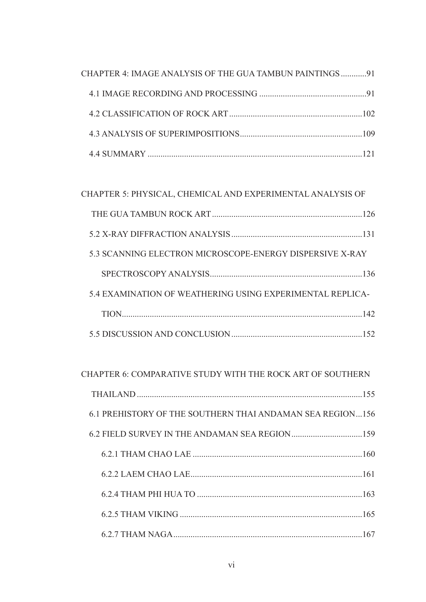| CHAPTER 4: IMAGE ANALYSIS OF THE GUA TAMBUN PAINTINGS91 |  |
|---------------------------------------------------------|--|
|                                                         |  |
|                                                         |  |
|                                                         |  |
|                                                         |  |

## CHAPTER 5: PHYSICAL, CHEMICAL AND EXPERIMENTAL ANALYSIS OF

| 5.3 SCANNING ELECTRON MICROSCOPE-ENERGY DISPERSIVE X-RAY  |
|-----------------------------------------------------------|
|                                                           |
| 5.4 EXAMINATION OF WEATHERING USING EXPERIMENTAL REPLICA- |
|                                                           |
| 152                                                       |

### CHAPTER 6: COMPARATIVE STUDY WITH THE ROCK ART OF SOUTHERN

| 6.1 PREHISTORY OF THE SOUTHERN THAI ANDAMAN SEA REGION156 |
|-----------------------------------------------------------|
|                                                           |
|                                                           |
|                                                           |
|                                                           |
|                                                           |
|                                                           |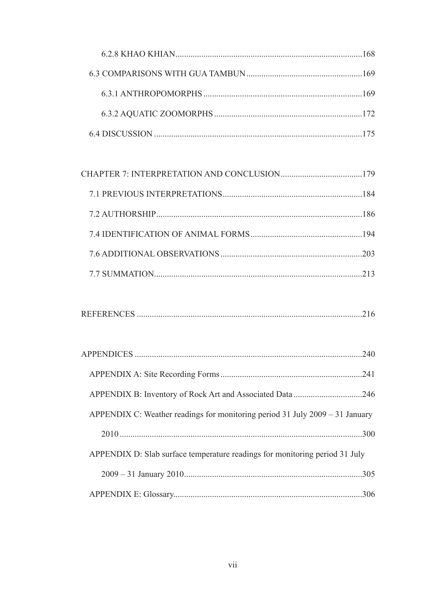# 

|--|

| APPENDIX C: Weather readings for monitoring period 31 July $2009 - 31$ January |  |
|--------------------------------------------------------------------------------|--|
|                                                                                |  |
| APPENDIX D: Slab surface temperature readings for monitoring period 31 July    |  |
|                                                                                |  |
|                                                                                |  |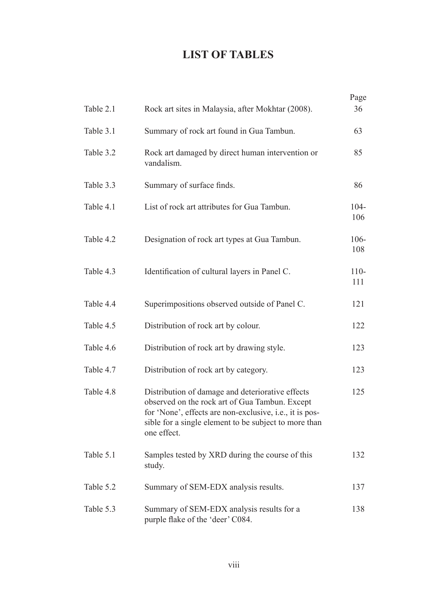# **LIST OF TABLES**

|           |                                                                                                                                                                                                                                       | Page           |
|-----------|---------------------------------------------------------------------------------------------------------------------------------------------------------------------------------------------------------------------------------------|----------------|
| Table 2.1 | Rock art sites in Malaysia, after Mokhtar (2008).                                                                                                                                                                                     | 36             |
| Table 3.1 | Summary of rock art found in Gua Tambun.                                                                                                                                                                                              | 63             |
| Table 3.2 | Rock art damaged by direct human intervention or<br>vandalism.                                                                                                                                                                        | 85             |
| Table 3.3 | Summary of surface finds.                                                                                                                                                                                                             | 86             |
| Table 4.1 | List of rock art attributes for Gua Tambun.                                                                                                                                                                                           | $104 -$<br>106 |
| Table 4.2 | Designation of rock art types at Gua Tambun.                                                                                                                                                                                          | $106 -$<br>108 |
| Table 4.3 | Identification of cultural layers in Panel C.                                                                                                                                                                                         | $110 -$<br>111 |
| Table 4.4 | Superimpositions observed outside of Panel C.                                                                                                                                                                                         | 121            |
| Table 4.5 | Distribution of rock art by colour.                                                                                                                                                                                                   | 122            |
| Table 4.6 | Distribution of rock art by drawing style.                                                                                                                                                                                            | 123            |
| Table 4.7 | Distribution of rock art by category.                                                                                                                                                                                                 | 123            |
| Table 4.8 | Distribution of damage and deteriorative effects<br>observed on the rock art of Gua Tambun. Except<br>for 'None', effects are non-exclusive, i.e., it is pos-<br>sible for a single element to be subject to more than<br>one effect. | 125            |
| Table 5.1 | Samples tested by XRD during the course of this<br>study.                                                                                                                                                                             | 132            |
| Table 5.2 | Summary of SEM-EDX analysis results.                                                                                                                                                                                                  | 137            |
| Table 5.3 | Summary of SEM-EDX analysis results for a<br>purple flake of the 'deer' C084.                                                                                                                                                         | 138            |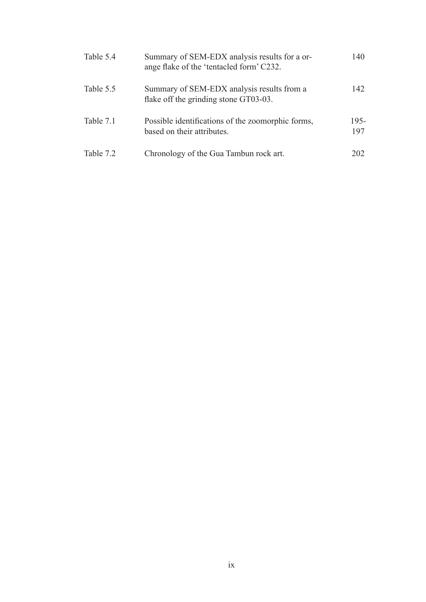| Table 5.4 | Summary of SEM-EDX analysis results for a or-<br>ange flake of the 'tentacled form' C232. | 140            |
|-----------|-------------------------------------------------------------------------------------------|----------------|
| Table 5.5 | Summary of SEM-EDX analysis results from a<br>flake off the grinding stone GT03-03.       | 142            |
| Table 7.1 | Possible identifications of the zoomorphic forms,<br>based on their attributes.           | $195 -$<br>197 |
| Table 7.2 | Chronology of the Gua Tambun rock art.                                                    | 202            |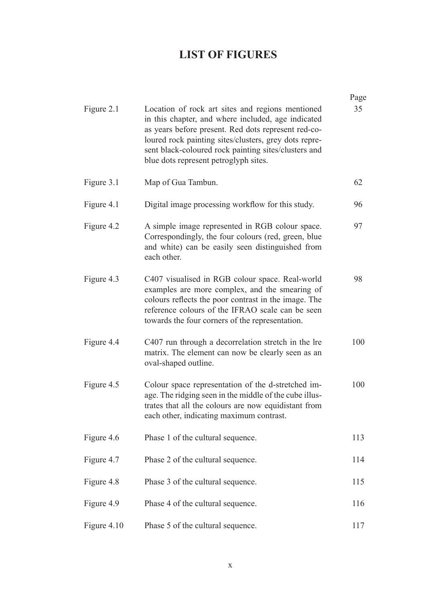# **LIST OF FIGURES**

|             |                                                                                                                                                                                                                                                                                                                         | Page |
|-------------|-------------------------------------------------------------------------------------------------------------------------------------------------------------------------------------------------------------------------------------------------------------------------------------------------------------------------|------|
| Figure 2.1  | Location of rock art sites and regions mentioned<br>in this chapter, and where included, age indicated<br>as years before present. Red dots represent red-co-<br>loured rock painting sites/clusters, grey dots repre-<br>sent black-coloured rock painting sites/clusters and<br>blue dots represent petroglyph sites. | 35   |
| Figure 3.1  | Map of Gua Tambun.                                                                                                                                                                                                                                                                                                      | 62   |
| Figure 4.1  | Digital image processing workflow for this study.                                                                                                                                                                                                                                                                       | 96   |
| Figure 4.2  | A simple image represented in RGB colour space.<br>Correspondingly, the four colours (red, green, blue<br>and white) can be easily seen distinguished from<br>each other.                                                                                                                                               | 97   |
| Figure 4.3  | C407 visualised in RGB colour space. Real-world<br>examples are more complex, and the smearing of<br>colours reflects the poor contrast in the image. The<br>reference colours of the IFRAO scale can be seen<br>towards the four corners of the representation.                                                        | 98   |
| Figure 4.4  | C407 run through a decorrelation stretch in the lre<br>matrix. The element can now be clearly seen as an<br>oval-shaped outline.                                                                                                                                                                                        | 100  |
| Figure 4.5  | Colour space representation of the d-stretched im-<br>age. The ridging seen in the middle of the cube illus-<br>trates that all the colours are now equidistant from<br>each other, indicating maximum contrast.                                                                                                        | 100  |
| Figure 4.6  | Phase 1 of the cultural sequence.                                                                                                                                                                                                                                                                                       | 113  |
| Figure 4.7  | Phase 2 of the cultural sequence.                                                                                                                                                                                                                                                                                       | 114  |
| Figure 4.8  | Phase 3 of the cultural sequence.                                                                                                                                                                                                                                                                                       | 115  |
| Figure 4.9  | Phase 4 of the cultural sequence.                                                                                                                                                                                                                                                                                       | 116  |
| Figure 4.10 | Phase 5 of the cultural sequence.                                                                                                                                                                                                                                                                                       | 117  |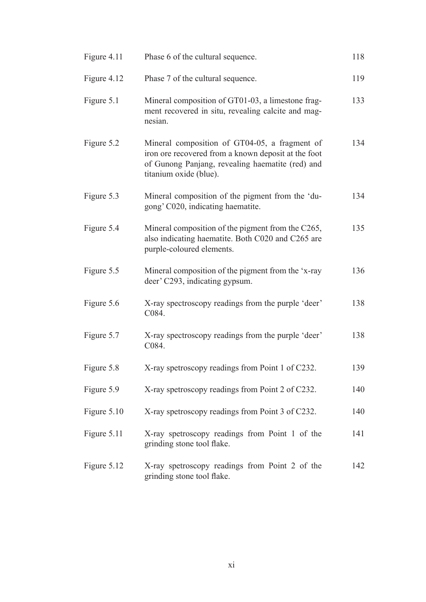| Figure 4.11 | Phase 6 of the cultural sequence.                                                                                                                                                  | 118 |
|-------------|------------------------------------------------------------------------------------------------------------------------------------------------------------------------------------|-----|
| Figure 4.12 | Phase 7 of the cultural sequence.                                                                                                                                                  | 119 |
| Figure 5.1  | Mineral composition of GT01-03, a limestone frag-<br>ment recovered in situ, revealing calcite and mag-<br>nesian.                                                                 | 133 |
| Figure 5.2  | Mineral composition of GT04-05, a fragment of<br>iron ore recovered from a known deposit at the foot<br>of Gunong Panjang, revealing haematite (red) and<br>titanium oxide (blue). | 134 |
| Figure 5.3  | Mineral composition of the pigment from the 'du-<br>gong' C020, indicating haematite.                                                                                              | 134 |
| Figure 5.4  | Mineral composition of the pigment from the C265,<br>also indicating haematite. Both C020 and C265 are<br>purple-coloured elements.                                                | 135 |
| Figure 5.5  | Mineral composition of the pigment from the 'x-ray<br>deer' C293, indicating gypsum.                                                                                               | 136 |
| Figure 5.6  | X-ray spectroscopy readings from the purple 'deer'<br>C084.                                                                                                                        | 138 |
| Figure 5.7  | X-ray spectroscopy readings from the purple 'deer'<br>C084.                                                                                                                        | 138 |
| Figure 5.8  | X-ray spetroscopy readings from Point 1 of C232.                                                                                                                                   | 139 |
| Figure 5.9  | X-ray spetroscopy readings from Point 2 of C232.                                                                                                                                   | 140 |
| Figure 5.10 | X-ray spetroscopy readings from Point 3 of C232.                                                                                                                                   | 140 |
| Figure 5.11 | X-ray spetroscopy readings from Point 1 of the<br>grinding stone tool flake.                                                                                                       | 141 |
| Figure 5.12 | X-ray spetroscopy readings from Point 2 of the<br>grinding stone tool flake.                                                                                                       | 142 |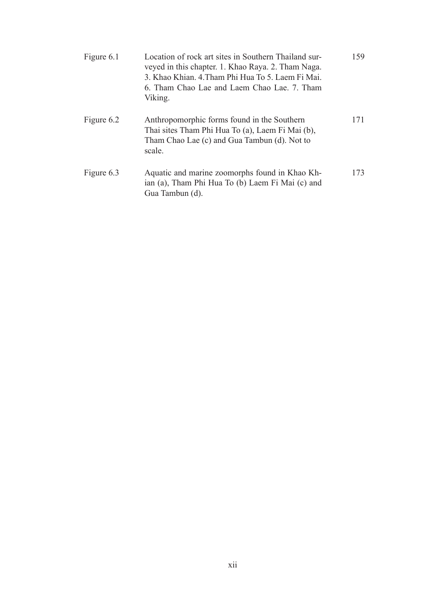| Figure 6.1 | Location of rock art sites in Southern Thailand sur-<br>veyed in this chapter. 1. Khao Raya. 2. Tham Naga.<br>3. Khao Khian. 4. Tham Phi Hua To 5. Laem Fi Mai.<br>6. Tham Chao Lae and Laem Chao Lae. 7. Tham<br>Viking. | 159 |
|------------|---------------------------------------------------------------------------------------------------------------------------------------------------------------------------------------------------------------------------|-----|
| Figure 6.2 | Anthropomorphic forms found in the Southern<br>Thai sites Tham Phi Hua To (a), Laem Fi Mai (b),<br>Tham Chao Lae (c) and Gua Tambun (d). Not to<br>scale.                                                                 | 171 |
| Figure 6.3 | Aquatic and marine zoomorphs found in Khao Kh-<br>ian (a), Tham Phi Hua To (b) Laem Fi Mai (c) and<br>Gua Tambun (d).                                                                                                     | 173 |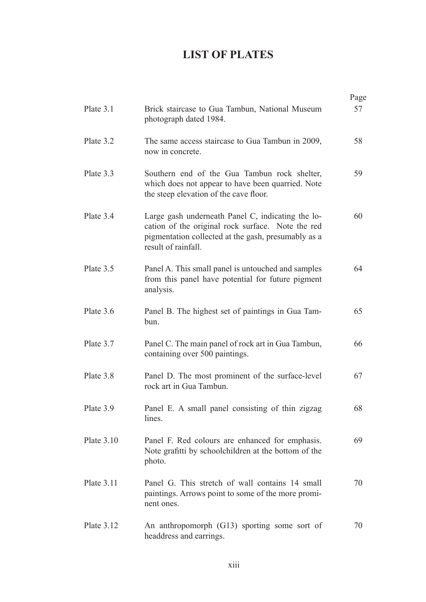# **LIST OF PLATES**

|              |                                                                                                                                                                                      | Page |
|--------------|--------------------------------------------------------------------------------------------------------------------------------------------------------------------------------------|------|
| Plate 3.1    | Brick staircase to Gua Tambun, National Museum<br>photograph dated 1984.                                                                                                             | 57   |
| Plate 3.2    | The same access staircase to Gua Tambun in 2009,<br>now in concrete.                                                                                                                 | 58   |
| Plate 3.3    | Southern end of the Gua Tambun rock shelter,<br>which does not appear to have been quarried. Note<br>the steep elevation of the cave floor.                                          | 59   |
| Plate 3.4    | Large gash underneath Panel C, indicating the lo-<br>cation of the original rock surface. Note the red<br>pigmentation collected at the gash, presumably as a<br>result of rainfall. | 60   |
| Plate 3.5    | Panel A. This small panel is untouched and samples<br>from this panel have potential for future pigment<br>analysis.                                                                 | 64   |
| Plate 3.6    | Panel B. The highest set of paintings in Gua Tam-<br>bun.                                                                                                                            | 65   |
| Plate 3.7    | Panel C. The main panel of rock art in Gua Tambun,<br>containing over 500 paintings.                                                                                                 | 66   |
| Plate 3.8    | Panel D. The most prominent of the surface-level<br>rock art in Gua Tambun.                                                                                                          | 67   |
| Plate 3.9    | Panel E. A small panel consisting of thin zigzag<br>lines.                                                                                                                           | 68   |
| Plate $3.10$ | Panel F. Red colours are enhanced for emphasis.<br>Note grafitti by schoolchildren at the bottom of the<br>photo.                                                                    | 69   |
| Plate 3.11   | Panel G. This stretch of wall contains 14 small<br>paintings. Arrows point to some of the more promi-<br>nent ones.                                                                  | 70   |
| Plate 3.12   | An anthropomorph (G13) sporting some sort of<br>headdress and earrings.                                                                                                              | 70   |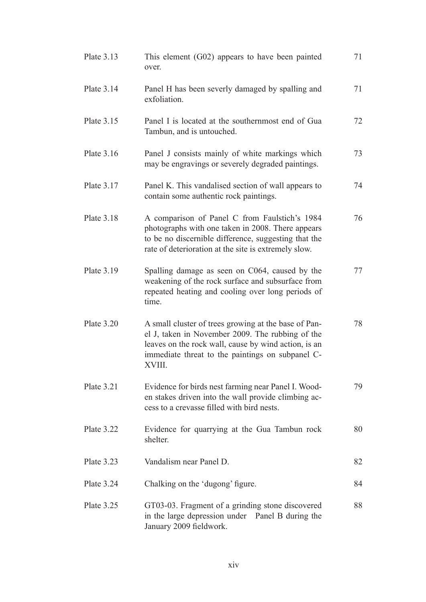| Plate 3.13   | This element $(G02)$ appears to have been painted<br>over.                                                                                                                                                                     | 71 |
|--------------|--------------------------------------------------------------------------------------------------------------------------------------------------------------------------------------------------------------------------------|----|
| Plate 3.14   | Panel H has been severly damaged by spalling and<br>exfoliation.                                                                                                                                                               | 71 |
| Plate 3.15   | Panel I is located at the southernmost end of Gua<br>Tambun, and is untouched.                                                                                                                                                 | 72 |
| Plate 3.16   | Panel J consists mainly of white markings which<br>may be engravings or severely degraded paintings.                                                                                                                           | 73 |
| Plate $3.17$ | Panel K. This vandalised section of wall appears to<br>contain some authentic rock paintings.                                                                                                                                  | 74 |
| Plate 3.18   | A comparison of Panel C from Faulstich's 1984<br>photographs with one taken in 2008. There appears<br>to be no discernible difference, suggesting that the<br>rate of deterioration at the site is extremely slow.             | 76 |
| Plate 3.19   | Spalling damage as seen on C064, caused by the<br>weakening of the rock surface and subsurface from<br>repeated heating and cooling over long periods of<br>time.                                                              | 77 |
| Plate 3.20   | A small cluster of trees growing at the base of Pan-<br>el J, taken in November 2009. The rubbing of the<br>leaves on the rock wall, cause by wind action, is an<br>immediate threat to the paintings on subpanel C-<br>XVIII. | 78 |
| Plate 3.21   | Evidence for birds nest farming near Panel I. Wood-<br>en stakes driven into the wall provide climbing ac-<br>cess to a crevasse filled with bird nests.                                                                       | 79 |
| Plate 3.22   | Evidence for quarrying at the Gua Tambun rock<br>shelter.                                                                                                                                                                      | 80 |
| Plate $3.23$ | Vandalism near Panel D.                                                                                                                                                                                                        | 82 |
| Plate 3.24   | Chalking on the 'dugong' figure.                                                                                                                                                                                               | 84 |
| Plate 3.25   | GT03-03. Fragment of a grinding stone discovered<br>in the large depression under Panel B during the<br>January 2009 fieldwork.                                                                                                | 88 |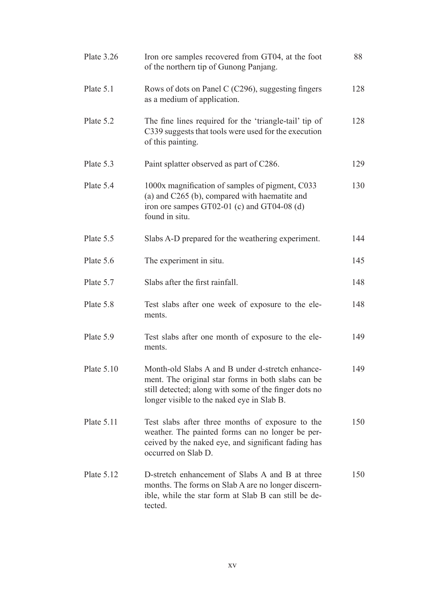| Plate 3.26   | Iron ore samples recovered from GT04, at the foot<br>of the northern tip of Gunong Panjang.                                                                                                                   | 88  |
|--------------|---------------------------------------------------------------------------------------------------------------------------------------------------------------------------------------------------------------|-----|
| Plate 5.1    | Rows of dots on Panel C (C296), suggesting fingers<br>as a medium of application.                                                                                                                             | 128 |
| Plate 5.2    | The fine lines required for the 'triangle-tail' tip of<br>C339 suggests that tools were used for the execution<br>of this painting.                                                                           | 128 |
| Plate 5.3    | Paint splatter observed as part of C286.                                                                                                                                                                      | 129 |
| Plate 5.4    | 1000x magnification of samples of pigment, C033<br>(a) and C265 (b), compared with haematite and<br>iron ore sampes GT02-01 (c) and GT04-08 (d)<br>found in situ.                                             | 130 |
| Plate 5.5    | Slabs A-D prepared for the weathering experiment.                                                                                                                                                             | 144 |
| Plate 5.6    | The experiment in situ.                                                                                                                                                                                       | 145 |
| Plate 5.7    | Slabs after the first rainfall.                                                                                                                                                                               | 148 |
| Plate 5.8    | Test slabs after one week of exposure to the ele-<br>ments.                                                                                                                                                   | 148 |
| Plate 5.9    | Test slabs after one month of exposure to the ele-<br>ments.                                                                                                                                                  | 149 |
| Plate $5.10$ | Month-old Slabs A and B under d-stretch enhance-<br>ment. The original star forms in both slabs can be<br>still detected; along with some of the finger dots no<br>longer visible to the naked eye in Slab B. | 149 |
| Plate 5.11   | Test slabs after three months of exposure to the<br>weather. The painted forms can no longer be per-<br>ceived by the naked eye, and significant fading has<br>occurred on Slab D.                            | 150 |
| Plate $5.12$ | D-stretch enhancement of Slabs A and B at three<br>months. The forms on Slab A are no longer discern-<br>ible, while the star form at Slab B can still be de-<br>tected.                                      | 150 |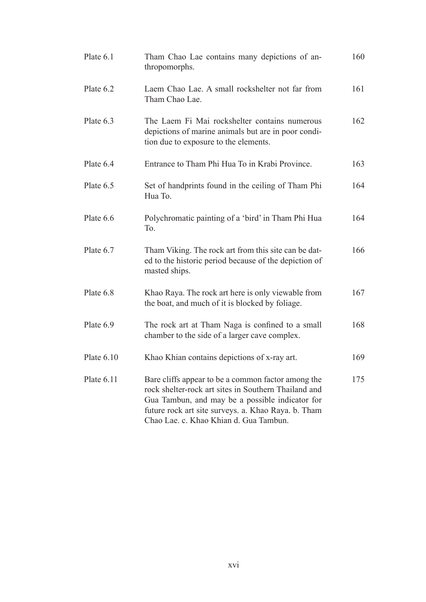| Plate 6.1    | Tham Chao Lae contains many depictions of an-<br>thropomorphs.                                                                                                                                                                                                 | 160 |
|--------------|----------------------------------------------------------------------------------------------------------------------------------------------------------------------------------------------------------------------------------------------------------------|-----|
| Plate 6.2    | Laem Chao Lae. A small rockshelter not far from<br>Tham Chao Lae.                                                                                                                                                                                              | 161 |
| Plate 6.3    | The Laem Fi Mai rockshelter contains numerous<br>depictions of marine animals but are in poor condi-<br>tion due to exposure to the elements.                                                                                                                  | 162 |
| Plate 6.4    | Entrance to Tham Phi Hua To in Krabi Province.                                                                                                                                                                                                                 | 163 |
| Plate 6.5    | Set of handprints found in the ceiling of Tham Phi<br>Hua To.                                                                                                                                                                                                  | 164 |
| Plate 6.6    | Polychromatic painting of a 'bird' in Tham Phi Hua<br>To.                                                                                                                                                                                                      | 164 |
| Plate 6.7    | Tham Viking. The rock art from this site can be dat-<br>ed to the historic period because of the depiction of<br>masted ships.                                                                                                                                 | 166 |
| Plate 6.8    | Khao Raya. The rock art here is only viewable from<br>the boat, and much of it is blocked by foliage.                                                                                                                                                          | 167 |
| Plate 6.9    | The rock art at Tham Naga is confined to a small<br>chamber to the side of a larger cave complex.                                                                                                                                                              | 168 |
| Plate $6.10$ | Khao Khian contains depictions of x-ray art.                                                                                                                                                                                                                   | 169 |
| Plate $6.11$ | Bare cliffs appear to be a common factor among the<br>rock shelter-rock art sites in Southern Thailand and<br>Gua Tambun, and may be a possible indicator for<br>future rock art site surveys. a. Khao Raya. b. Tham<br>Chao Lae. c. Khao Khian d. Gua Tambun. | 175 |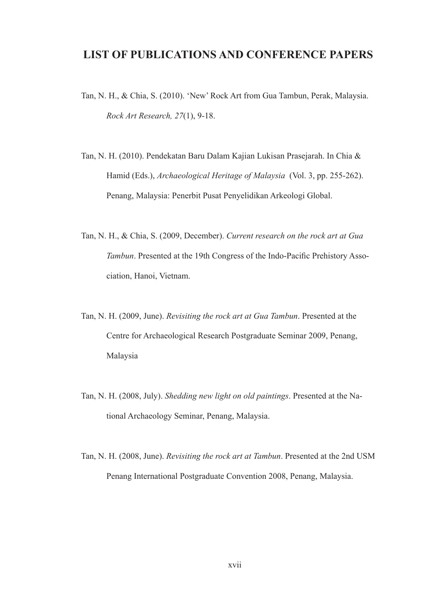## **LIST OF PUBLICATIONS AND CONFERENCE PAPERS**

- Tan, N. H., & Chia, S. (2010). 'New' Rock Art from Gua Tambun, Perak, Malaysia. *Rock Art Research, 27*(1), 9-18.
- Tan, N. H. (2010). Pendekatan Baru Dalam Kajian Lukisan Prasejarah. In Chia & Hamid (Eds.), *Archaeological Heritage of Malaysia* (Vol. 3, pp. 255-262). Penang, Malaysia: Penerbit Pusat Penyelidikan Arkeologi Global.
- Tan, N. H., & Chia, S. (2009, December). *Current research on the rock art at Gua Tambun*. Presented at the 19th Congress of the Indo-Pacific Prehistory Association, Hanoi, Vietnam.
- Tan, N. H. (2009, June). *Revisiting the rock art at Gua Tambun*. Presented at the Centre for Archaeological Research Postgraduate Seminar 2009, Penang, Malaysia
- Tan, N. H. (2008, July). *Shedding new light on old paintings*. Presented at the National Archaeology Seminar, Penang, Malaysia.
- Tan, N. H. (2008, June). *Revisiting the rock art at Tambun*. Presented at the 2nd USM Penang International Postgraduate Convention 2008, Penang, Malaysia.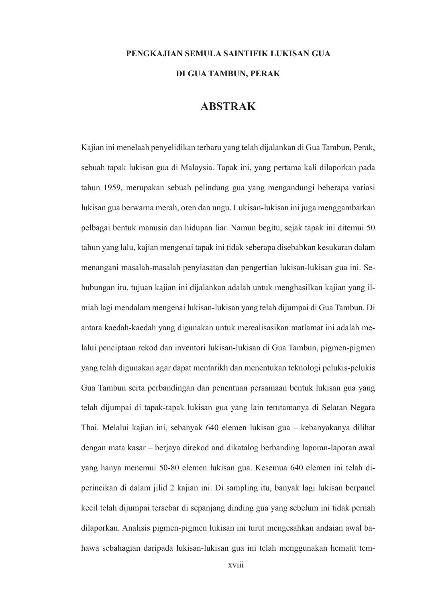# **PENGKAJIAN SEMULA SAINTIFIK LUKISAN GUA DI GUA TAMBUN, PERAK**

### **ABSTRAK**

Kajian ini menelaah penyelidikan terbaru yang telah dijalankan di Gua Tambun, Perak, sebuah tapak lukisan gua di Malaysia. Tapak ini, yang pertama kali dilaporkan pada tahun 1959, merupakan sebuah pelindung gua yang mengandungi beberapa variasi lukisan gua berwarna merah, oren dan ungu. Lukisan-lukisan ini juga menggambarkan pelbagai bentuk manusia dan hidupan liar. Namun begitu, sejak tapak ini ditemui 50 tahun yang lalu, kajian mengenai tapak ini tidak seberapa disebabkan kesukaran dalam menangani masalah-masalah penyiasatan dan pengertian lukisan-lukisan gua ini. Sehubungan itu, tujuan kajian ini dijalankan adalah untuk menghasilkan kajian yang ilmiah lagi mendalam mengenai lukisan-lukisan yang telah dijumpai di Gua Tambun. Di antara kaedah-kaedah yang digunakan untuk merealisasikan matlamat ini adalah melalui penciptaan rekod dan inventori lukisan-lukisan di Gua Tambun, pigmen-pigmen yang telah digunakan agar dapat mentarikh dan menentukan teknologi pelukis-pelukis Gua Tambun serta perbandingan dan penentuan persamaan bentuk lukisan gua yang telah dijumpai di tapak-tapak lukisan gua yang lain terutamanya di Selatan Negara Thai. Melalui kajian ini, sebanyak 640 elemen lukisan gua – kebanyakanya dilihat dengan mata kasar – berjaya direkod and dikatalog berbanding laporan-laporan awal yang hanya menemui 50-80 elemen lukisan gua. Kesemua 640 elemen ini telah diperincikan di dalam jilid 2 kajian ini. Di sampling itu, banyak lagi lukisan berpanel kecil telah dijumpai tersebar di sepanjang dinding gua yang sebelum ini tidak pernah dilaporkan. Analisis pigmen-pigmen lukisan ini turut mengesahkan andaian awal bahawa sebahagian daripada lukisan-lukisan gua ini telah menggunakan hematit tem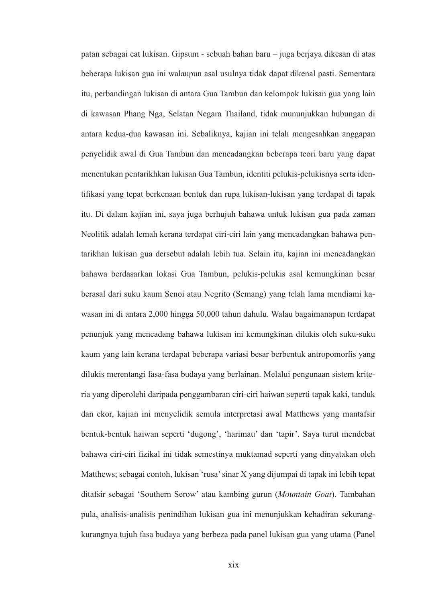patan sebagai cat lukisan. Gipsum - sebuah bahan baru – juga berjaya dikesan di atas beberapa lukisan gua ini walaupun asal usulnya tidak dapat dikenal pasti. Sementara itu, perbandingan lukisan di antara Gua Tambun dan kelompok lukisan gua yang lain di kawasan Phang Nga, Selatan Negara Thailand, tidak mununjukkan hubungan di antara kedua-dua kawasan ini. Sebaliknya, kajian ini telah mengesahkan anggapan penyelidik awal di Gua Tambun dan mencadangkan beberapa teori baru yang dapat menentukan pentarikhkan lukisan Gua Tambun, identiti pelukis-pelukisnya serta identifikasi yang tepat berkenaan bentuk dan rupa lukisan-lukisan yang terdapat di tapak itu. Di dalam kajian ini, saya juga berhujuh bahawa untuk lukisan gua pada zaman Neolitik adalah lemah kerana terdapat ciri-ciri lain yang mencadangkan bahawa pentarikhan lukisan gua dersebut adalah lebih tua. Selain itu, kajian ini mencadangkan bahawa berdasarkan lokasi Gua Tambun, pelukis-pelukis asal kemungkinan besar berasal dari suku kaum Senoi atau Negrito (Semang) yang telah lama mendiami kawasan ini di antara 2,000 hingga 50,000 tahun dahulu. Walau bagaimanapun terdapat penunjuk yang mencadang bahawa lukisan ini kemungkinan dilukis oleh suku-suku kaum yang lain kerana terdapat beberapa variasi besar berbentuk antropomorfis yang dilukis merentangi fasa-fasa budaya yang berlainan. Melalui pengunaan sistem kriteria yang diperolehi daripada penggambaran ciri-ciri haiwan seperti tapak kaki, tanduk dan ekor, kajian ini menyelidik semula interpretasi awal Matthews yang mantafsir bentuk-bentuk haiwan seperti 'dugong', 'harimau' dan 'tapir'. Saya turut mendebat bahawa ciri-ciri fizikal ini tidak semestinya muktamad seperti yang dinyatakan oleh Matthews; sebagai contoh, lukisan 'rusa' sinar X yang dijumpai di tapak ini lebih tepat ditafsir sebagai 'Southern Serow' atau kambing gurun (*Mountain Goat*). Tambahan pula, analisis-analisis penindihan lukisan gua ini menunjukkan kehadiran sekurangkurangnya tujuh fasa budaya yang berbeza pada panel lukisan gua yang utama (Panel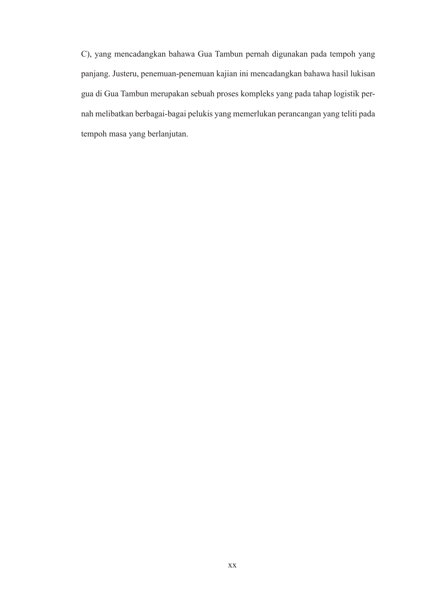C), yang mencadangkan bahawa Gua Tambun pernah digunakan pada tempoh yang panjang. Justeru, penemuan-penemuan kajian ini mencadangkan bahawa hasil lukisan gua di Gua Tambun merupakan sebuah proses kompleks yang pada tahap logistik pernah melibatkan berbagai-bagai pelukis yang memerlukan perancangan yang teliti pada tempoh masa yang berlanjutan.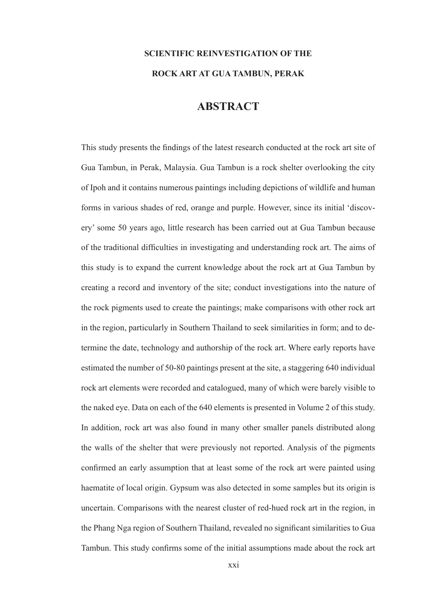# **SCIENTIFIC REINVESTIGATION OF THE ROCK ART AT GUA TAMBUN, PERAK**

## **ABSTRACT**

This study presents the findings of the latest research conducted at the rock art site of Gua Tambun, in Perak, Malaysia. Gua Tambun is a rock shelter overlooking the city of Ipoh and it contains numerous paintings including depictions of wildlife and human forms in various shades of red, orange and purple. However, since its initial 'discovery' some 50 years ago, little research has been carried out at Gua Tambun because of the traditional difficulties in investigating and understanding rock art. The aims of this study is to expand the current knowledge about the rock art at Gua Tambun by creating a record and inventory of the site; conduct investigations into the nature of the rock pigments used to create the paintings; make comparisons with other rock art in the region, particularly in Southern Thailand to seek similarities in form; and to determine the date, technology and authorship of the rock art. Where early reports have estimated the number of 50-80 paintings present at the site, a staggering 640 individual rock art elements were recorded and catalogued, many of which were barely visible to the naked eye. Data on each of the 640 elements is presented in Volume 2 of this study. In addition, rock art was also found in many other smaller panels distributed along the walls of the shelter that were previously not reported. Analysis of the pigments confirmed an early assumption that at least some of the rock art were painted using haematite of local origin. Gypsum was also detected in some samples but its origin is uncertain. Comparisons with the nearest cluster of red-hued rock art in the region, in the Phang Nga region of Southern Thailand, revealed no significant similarities to Gua Tambun. This study confirms some of the initial assumptions made about the rock art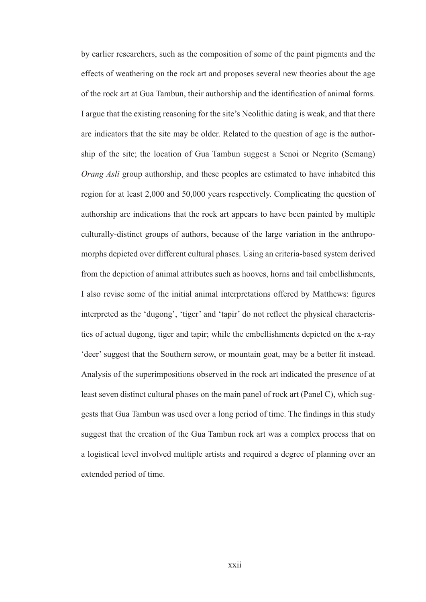by earlier researchers, such as the composition of some of the paint pigments and the effects of weathering on the rock art and proposes several new theories about the age of the rock art at Gua Tambun, their authorship and the identification of animal forms. I argue that the existing reasoning for the site's Neolithic dating is weak, and that there are indicators that the site may be older. Related to the question of age is the authorship of the site; the location of Gua Tambun suggest a Senoi or Negrito (Semang) *Orang Asli* group authorship, and these peoples are estimated to have inhabited this region for at least 2,000 and 50,000 years respectively. Complicating the question of authorship are indications that the rock art appears to have been painted by multiple culturally-distinct groups of authors, because of the large variation in the anthropomorphs depicted over different cultural phases. Using an criteria-based system derived from the depiction of animal attributes such as hooves, horns and tail embellishments, I also revise some of the initial animal interpretations offered by Matthews: figures interpreted as the 'dugong', 'tiger' and 'tapir' do not reflect the physical characteristics of actual dugong, tiger and tapir; while the embellishments depicted on the x-ray 'deer' suggest that the Southern serow, or mountain goat, may be a better fit instead. Analysis of the superimpositions observed in the rock art indicated the presence of at least seven distinct cultural phases on the main panel of rock art (Panel C), which suggests that Gua Tambun was used over a long period of time. The findings in this study suggest that the creation of the Gua Tambun rock art was a complex process that on a logistical level involved multiple artists and required a degree of planning over an extended period of time.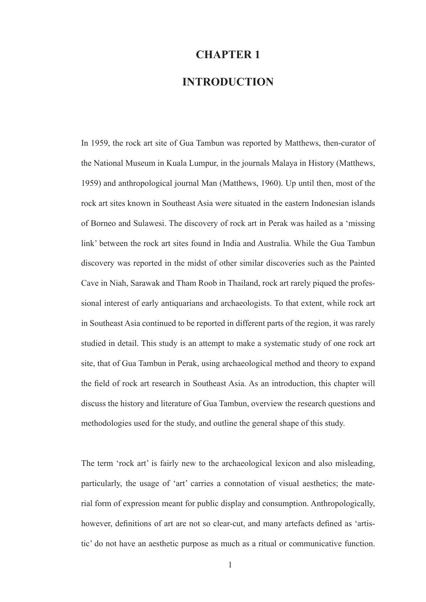### **CHAPTER 1**

### **INTRODUCTION**

In 1959, the rock art site of Gua Tambun was reported by Matthews, then-curator of the National Museum in Kuala Lumpur, in the journals Malaya in History (Matthews, 1959) and anthropological journal Man (Matthews, 1960). Up until then, most of the rock art sites known in Southeast Asia were situated in the eastern Indonesian islands of Borneo and Sulawesi. The discovery of rock art in Perak was hailed as a 'missing link' between the rock art sites found in India and Australia. While the Gua Tambun discovery was reported in the midst of other similar discoveries such as the Painted Cave in Niah, Sarawak and Tham Roob in Thailand, rock art rarely piqued the professional interest of early antiquarians and archaeologists. To that extent, while rock art in Southeast Asia continued to be reported in different parts of the region, it was rarely studied in detail. This study is an attempt to make a systematic study of one rock art site, that of Gua Tambun in Perak, using archaeological method and theory to expand the field of rock art research in Southeast Asia. As an introduction, this chapter will discuss the history and literature of Gua Tambun, overview the research questions and methodologies used for the study, and outline the general shape of this study.

The term 'rock art' is fairly new to the archaeological lexicon and also misleading, particularly, the usage of 'art' carries a connotation of visual aesthetics; the material form of expression meant for public display and consumption. Anthropologically, however, definitions of art are not so clear-cut, and many artefacts defined as 'artistic' do not have an aesthetic purpose as much as a ritual or communicative function.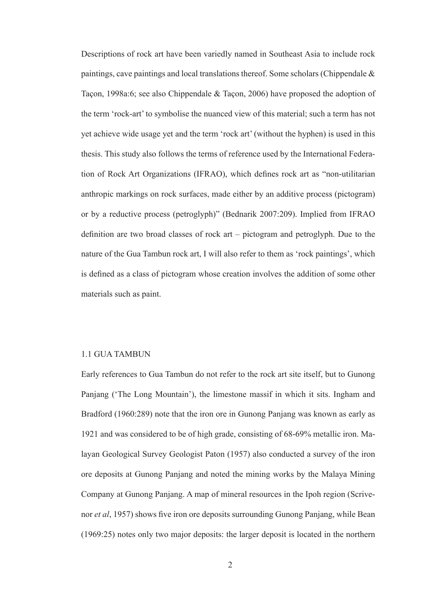Descriptions of rock art have been variedly named in Southeast Asia to include rock paintings, cave paintings and local translations thereof. Some scholars (Chippendale & Taçon, 1998a:6; see also Chippendale & Taçon, 2006) have proposed the adoption of the term 'rock-art' to symbolise the nuanced view of this material; such a term has not yet achieve wide usage yet and the term 'rock art' (without the hyphen) is used in this thesis. This study also follows the terms of reference used by the International Federation of Rock Art Organizations (IFRAO), which defines rock art as "non-utilitarian anthropic markings on rock surfaces, made either by an additive process (pictogram) or by a reductive process (petroglyph)" (Bednarik 2007:209). Implied from IFRAO definition are two broad classes of rock art – pictogram and petroglyph. Due to the nature of the Gua Tambun rock art, I will also refer to them as 'rock paintings', which is defined as a class of pictogram whose creation involves the addition of some other materials such as paint.

#### 1.1 GUA TAMBUN

Early references to Gua Tambun do not refer to the rock art site itself, but to Gunong Panjang ('The Long Mountain'), the limestone massif in which it sits. Ingham and Bradford (1960:289) note that the iron ore in Gunong Panjang was known as early as 1921 and was considered to be of high grade, consisting of 68-69% metallic iron. Malayan Geological Survey Geologist Paton (1957) also conducted a survey of the iron ore deposits at Gunong Panjang and noted the mining works by the Malaya Mining Company at Gunong Panjang. A map of mineral resources in the Ipoh region (Scrivenor *et al*, 1957) shows five iron ore deposits surrounding Gunong Panjang, while Bean (1969:25) notes only two major deposits: the larger deposit is located in the northern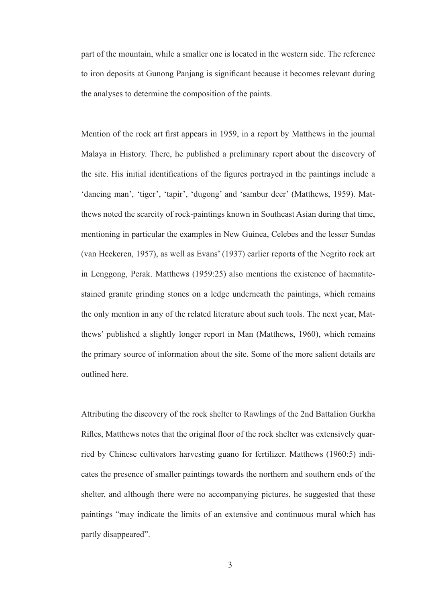part of the mountain, while a smaller one is located in the western side. The reference to iron deposits at Gunong Panjang is significant because it becomes relevant during the analyses to determine the composition of the paints.

Mention of the rock art first appears in 1959, in a report by Matthews in the journal Malaya in History. There, he published a preliminary report about the discovery of the site. His initial identifications of the figures portrayed in the paintings include a 'dancing man', 'tiger', 'tapir', 'dugong' and 'sambur deer' (Matthews, 1959). Matthews noted the scarcity of rock-paintings known in Southeast Asian during that time, mentioning in particular the examples in New Guinea, Celebes and the lesser Sundas (van Heekeren, 1957), as well as Evans' (1937) earlier reports of the Negrito rock art in Lenggong, Perak. Matthews (1959:25) also mentions the existence of haematitestained granite grinding stones on a ledge underneath the paintings, which remains the only mention in any of the related literature about such tools. The next year, Matthews' published a slightly longer report in Man (Matthews, 1960), which remains the primary source of information about the site. Some of the more salient details are outlined here.

Attributing the discovery of the rock shelter to Rawlings of the 2nd Battalion Gurkha Rifles, Matthews notes that the original floor of the rock shelter was extensively quarried by Chinese cultivators harvesting guano for fertilizer. Matthews (1960:5) indicates the presence of smaller paintings towards the northern and southern ends of the shelter, and although there were no accompanying pictures, he suggested that these paintings "may indicate the limits of an extensive and continuous mural which has partly disappeared".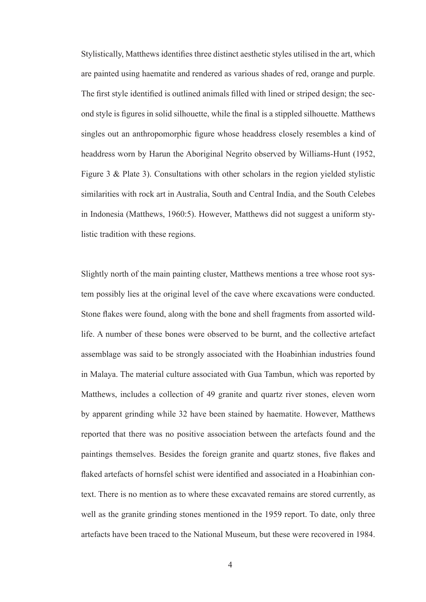Stylistically, Matthews identifies three distinct aesthetic styles utilised in the art, which are painted using haematite and rendered as various shades of red, orange and purple. The first style identified is outlined animals filled with lined or striped design; the second style is figures in solid silhouette, while the final is a stippled silhouette. Matthews singles out an anthropomorphic figure whose headdress closely resembles a kind of headdress worn by Harun the Aboriginal Negrito observed by Williams-Hunt (1952, Figure 3 & Plate 3). Consultations with other scholars in the region yielded stylistic similarities with rock art in Australia, South and Central India, and the South Celebes in Indonesia (Matthews, 1960:5). However, Matthews did not suggest a uniform stylistic tradition with these regions.

Slightly north of the main painting cluster, Matthews mentions a tree whose root system possibly lies at the original level of the cave where excavations were conducted. Stone flakes were found, along with the bone and shell fragments from assorted wildlife. A number of these bones were observed to be burnt, and the collective artefact assemblage was said to be strongly associated with the Hoabinhian industries found in Malaya. The material culture associated with Gua Tambun, which was reported by Matthews, includes a collection of 49 granite and quartz river stones, eleven worn by apparent grinding while 32 have been stained by haematite. However, Matthews reported that there was no positive association between the artefacts found and the paintings themselves. Besides the foreign granite and quartz stones, five flakes and flaked artefacts of hornsfel schist were identified and associated in a Hoabinhian context. There is no mention as to where these excavated remains are stored currently, as well as the granite grinding stones mentioned in the 1959 report. To date, only three artefacts have been traced to the National Museum, but these were recovered in 1984.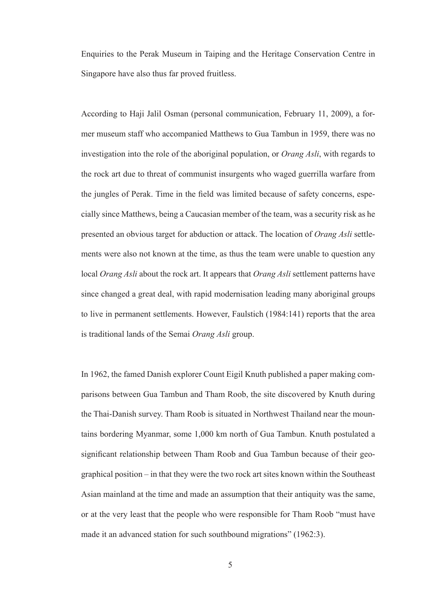Enquiries to the Perak Museum in Taiping and the Heritage Conservation Centre in Singapore have also thus far proved fruitless.

According to Haji Jalil Osman (personal communication, February 11, 2009), a former museum staff who accompanied Matthews to Gua Tambun in 1959, there was no investigation into the role of the aboriginal population, or *Orang Asli*, with regards to the rock art due to threat of communist insurgents who waged guerrilla warfare from the jungles of Perak. Time in the field was limited because of safety concerns, especially since Matthews, being a Caucasian member of the team, was a security risk as he presented an obvious target for abduction or attack. The location of *Orang Asli* settlements were also not known at the time, as thus the team were unable to question any local *Orang Asli* about the rock art. It appears that *Orang Asli* settlement patterns have since changed a great deal, with rapid modernisation leading many aboriginal groups to live in permanent settlements. However, Faulstich (1984:141) reports that the area is traditional lands of the Semai *Orang Asli* group.

In 1962, the famed Danish explorer Count Eigil Knuth published a paper making comparisons between Gua Tambun and Tham Roob, the site discovered by Knuth during the Thai-Danish survey. Tham Roob is situated in Northwest Thailand near the mountains bordering Myanmar, some 1,000 km north of Gua Tambun. Knuth postulated a significant relationship between Tham Roob and Gua Tambun because of their geographical position – in that they were the two rock art sites known within the Southeast Asian mainland at the time and made an assumption that their antiquity was the same, or at the very least that the people who were responsible for Tham Roob "must have made it an advanced station for such southbound migrations" (1962:3).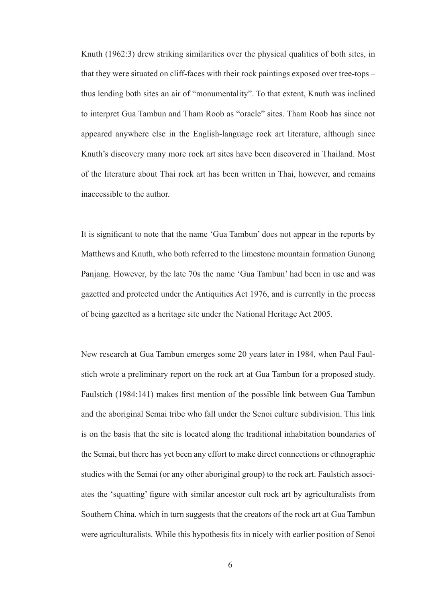Knuth (1962:3) drew striking similarities over the physical qualities of both sites, in that they were situated on cliff-faces with their rock paintings exposed over tree-tops – thus lending both sites an air of "monumentality". To that extent, Knuth was inclined to interpret Gua Tambun and Tham Roob as "oracle" sites. Tham Roob has since not appeared anywhere else in the English-language rock art literature, although since Knuth's discovery many more rock art sites have been discovered in Thailand. Most of the literature about Thai rock art has been written in Thai, however, and remains inaccessible to the author.

It is significant to note that the name 'Gua Tambun' does not appear in the reports by Matthews and Knuth, who both referred to the limestone mountain formation Gunong Panjang. However, by the late 70s the name 'Gua Tambun' had been in use and was gazetted and protected under the Antiquities Act 1976, and is currently in the process of being gazetted as a heritage site under the National Heritage Act 2005.

New research at Gua Tambun emerges some 20 years later in 1984, when Paul Faulstich wrote a preliminary report on the rock art at Gua Tambun for a proposed study. Faulstich (1984:141) makes first mention of the possible link between Gua Tambun and the aboriginal Semai tribe who fall under the Senoi culture subdivision. This link is on the basis that the site is located along the traditional inhabitation boundaries of the Semai, but there has yet been any effort to make direct connections or ethnographic studies with the Semai (or any other aboriginal group) to the rock art. Faulstich associates the 'squatting' figure with similar ancestor cult rock art by agriculturalists from Southern China, which in turn suggests that the creators of the rock art at Gua Tambun were agriculturalists. While this hypothesis fits in nicely with earlier position of Senoi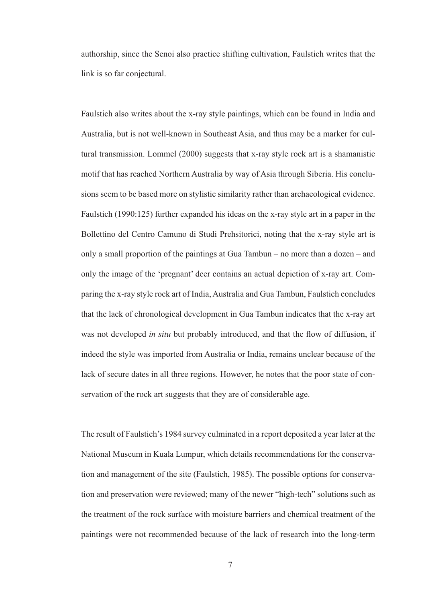authorship, since the Senoi also practice shifting cultivation, Faulstich writes that the link is so far conjectural.

Faulstich also writes about the x-ray style paintings, which can be found in India and Australia, but is not well-known in Southeast Asia, and thus may be a marker for cultural transmission. Lommel (2000) suggests that x-ray style rock art is a shamanistic motif that has reached Northern Australia by way of Asia through Siberia. His conclusions seem to be based more on stylistic similarity rather than archaeological evidence. Faulstich (1990:125) further expanded his ideas on the x-ray style art in a paper in the Bollettino del Centro Camuno di Studi Prehsitorici, noting that the x-ray style art is only a small proportion of the paintings at Gua Tambun – no more than a dozen – and only the image of the 'pregnant' deer contains an actual depiction of x-ray art. Comparing the x-ray style rock art of India, Australia and Gua Tambun, Faulstich concludes that the lack of chronological development in Gua Tambun indicates that the x-ray art was not developed *in situ* but probably introduced, and that the flow of diffusion, if indeed the style was imported from Australia or India, remains unclear because of the lack of secure dates in all three regions. However, he notes that the poor state of conservation of the rock art suggests that they are of considerable age.

The result of Faulstich's 1984 survey culminated in a report deposited a year later at the National Museum in Kuala Lumpur, which details recommendations for the conservation and management of the site (Faulstich, 1985). The possible options for conservation and preservation were reviewed; many of the newer "high-tech" solutions such as the treatment of the rock surface with moisture barriers and chemical treatment of the paintings were not recommended because of the lack of research into the long-term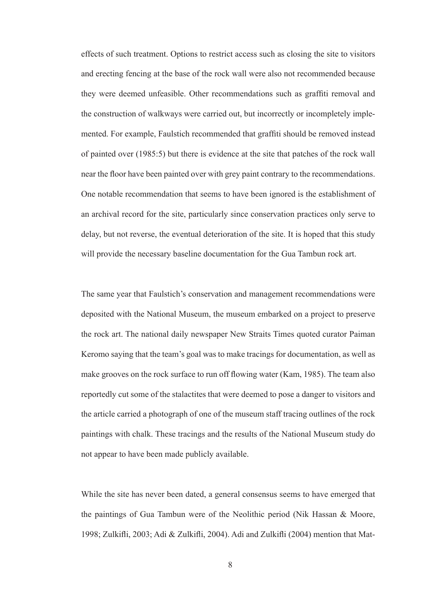effects of such treatment. Options to restrict access such as closing the site to visitors and erecting fencing at the base of the rock wall were also not recommended because they were deemed unfeasible. Other recommendations such as graffiti removal and the construction of walkways were carried out, but incorrectly or incompletely implemented. For example, Faulstich recommended that graffiti should be removed instead of painted over (1985:5) but there is evidence at the site that patches of the rock wall near the floor have been painted over with grey paint contrary to the recommendations. One notable recommendation that seems to have been ignored is the establishment of an archival record for the site, particularly since conservation practices only serve to delay, but not reverse, the eventual deterioration of the site. It is hoped that this study will provide the necessary baseline documentation for the Gua Tambun rock art.

The same year that Faulstich's conservation and management recommendations were deposited with the National Museum, the museum embarked on a project to preserve the rock art. The national daily newspaper New Straits Times quoted curator Paiman Keromo saying that the team's goal was to make tracings for documentation, as well as make grooves on the rock surface to run off flowing water (Kam, 1985). The team also reportedly cut some of the stalactites that were deemed to pose a danger to visitors and the article carried a photograph of one of the museum staff tracing outlines of the rock paintings with chalk. These tracings and the results of the National Museum study do not appear to have been made publicly available.

While the site has never been dated, a general consensus seems to have emerged that the paintings of Gua Tambun were of the Neolithic period (Nik Hassan & Moore, 1998; Zulkifli, 2003; Adi & Zulkifli, 2004). Adi and Zulkifli (2004) mention that Mat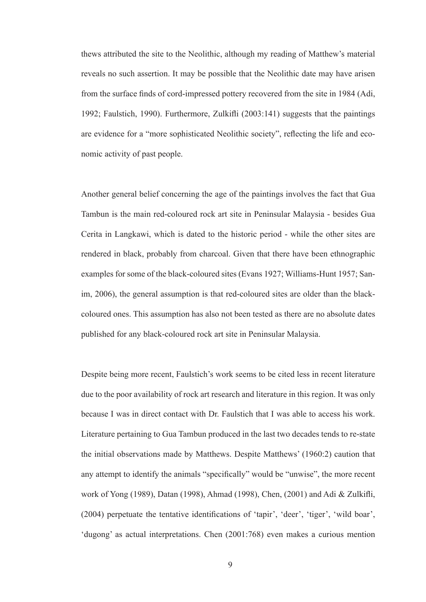thews attributed the site to the Neolithic, although my reading of Matthew's material reveals no such assertion. It may be possible that the Neolithic date may have arisen from the surface finds of cord-impressed pottery recovered from the site in 1984 (Adi, 1992; Faulstich, 1990). Furthermore, Zulkifli (2003:141) suggests that the paintings are evidence for a "more sophisticated Neolithic society", reflecting the life and economic activity of past people.

Another general belief concerning the age of the paintings involves the fact that Gua Tambun is the main red-coloured rock art site in Peninsular Malaysia - besides Gua Cerita in Langkawi, which is dated to the historic period - while the other sites are rendered in black, probably from charcoal. Given that there have been ethnographic examples for some of the black-coloured sites (Evans 1927; Williams-Hunt 1957; Sanim, 2006), the general assumption is that red-coloured sites are older than the blackcoloured ones. This assumption has also not been tested as there are no absolute dates published for any black-coloured rock art site in Peninsular Malaysia.

Despite being more recent, Faulstich's work seems to be cited less in recent literature due to the poor availability of rock art research and literature in this region. It was only because I was in direct contact with Dr. Faulstich that I was able to access his work. Literature pertaining to Gua Tambun produced in the last two decades tends to re-state the initial observations made by Matthews. Despite Matthews' (1960:2) caution that any attempt to identify the animals "specifically" would be "unwise", the more recent work of Yong (1989), Datan (1998), Ahmad (1998), Chen, (2001) and Adi & Zulkifli, (2004) perpetuate the tentative identifications of 'tapir', 'deer', 'tiger', 'wild boar', 'dugong' as actual interpretations. Chen (2001:768) even makes a curious mention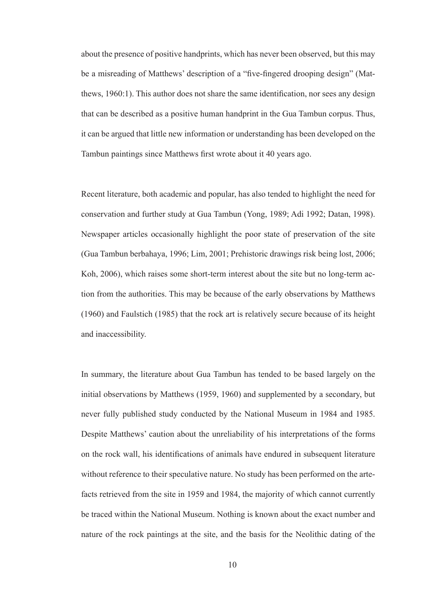about the presence of positive handprints, which has never been observed, but this may be a misreading of Matthews' description of a "five-fingered drooping design" (Matthews, 1960:1). This author does not share the same identification, nor sees any design that can be described as a positive human handprint in the Gua Tambun corpus. Thus, it can be argued that little new information or understanding has been developed on the Tambun paintings since Matthews first wrote about it 40 years ago.

Recent literature, both academic and popular, has also tended to highlight the need for conservation and further study at Gua Tambun (Yong, 1989; Adi 1992; Datan, 1998). Newspaper articles occasionally highlight the poor state of preservation of the site (Gua Tambun berbahaya, 1996; Lim, 2001; Prehistoric drawings risk being lost, 2006; Koh, 2006), which raises some short-term interest about the site but no long-term action from the authorities. This may be because of the early observations by Matthews (1960) and Faulstich (1985) that the rock art is relatively secure because of its height and inaccessibility.

In summary, the literature about Gua Tambun has tended to be based largely on the initial observations by Matthews (1959, 1960) and supplemented by a secondary, but never fully published study conducted by the National Museum in 1984 and 1985. Despite Matthews' caution about the unreliability of his interpretations of the forms on the rock wall, his identifications of animals have endured in subsequent literature without reference to their speculative nature. No study has been performed on the artefacts retrieved from the site in 1959 and 1984, the majority of which cannot currently be traced within the National Museum. Nothing is known about the exact number and nature of the rock paintings at the site, and the basis for the Neolithic dating of the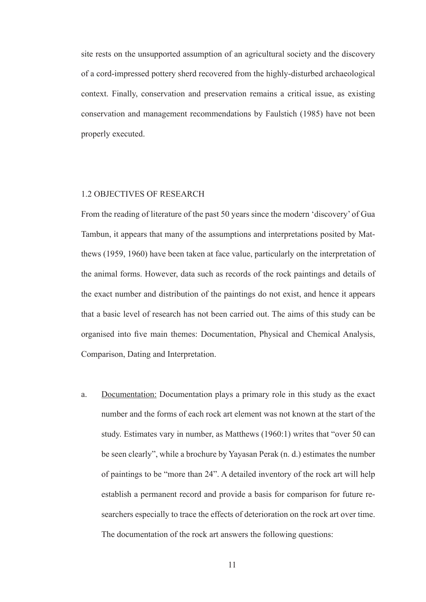site rests on the unsupported assumption of an agricultural society and the discovery of a cord-impressed pottery sherd recovered from the highly-disturbed archaeological context. Finally, conservation and preservation remains a critical issue, as existing conservation and management recommendations by Faulstich (1985) have not been properly executed.

### 1.2 OBJECTIVES OF RESEARCH

From the reading of literature of the past 50 years since the modern 'discovery' of Gua Tambun, it appears that many of the assumptions and interpretations posited by Matthews (1959, 1960) have been taken at face value, particularly on the interpretation of the animal forms. However, data such as records of the rock paintings and details of the exact number and distribution of the paintings do not exist, and hence it appears that a basic level of research has not been carried out. The aims of this study can be organised into five main themes: Documentation, Physical and Chemical Analysis, Comparison, Dating and Interpretation.

a. Documentation: Documentation plays a primary role in this study as the exact number and the forms of each rock art element was not known at the start of the study. Estimates vary in number, as Matthews (1960:1) writes that "over 50 can be seen clearly", while a brochure by Yayasan Perak (n. d.) estimates the number of paintings to be "more than 24". A detailed inventory of the rock art will help establish a permanent record and provide a basis for comparison for future researchers especially to trace the effects of deterioration on the rock art over time. The documentation of the rock art answers the following questions: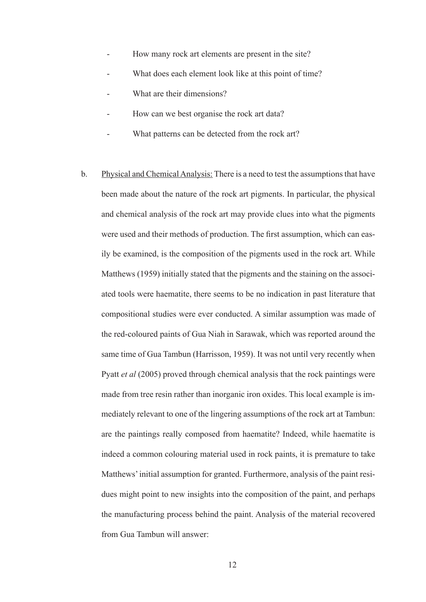- How many rock art elements are present in the site?
- What does each element look like at this point of time?
- What are their dimensions?
- How can we best organise the rock art data?
- What patterns can be detected from the rock art?
- b. Physical and Chemical Analysis: There is a need to test the assumptions that have been made about the nature of the rock art pigments. In particular, the physical and chemical analysis of the rock art may provide clues into what the pigments were used and their methods of production. The first assumption, which can easily be examined, is the composition of the pigments used in the rock art. While Matthews (1959) initially stated that the pigments and the staining on the associated tools were haematite, there seems to be no indication in past literature that compositional studies were ever conducted. A similar assumption was made of the red-coloured paints of Gua Niah in Sarawak, which was reported around the same time of Gua Tambun (Harrisson, 1959). It was not until very recently when Pyatt *et al* (2005) proved through chemical analysis that the rock paintings were made from tree resin rather than inorganic iron oxides. This local example is immediately relevant to one of the lingering assumptions of the rock art at Tambun: are the paintings really composed from haematite? Indeed, while haematite is indeed a common colouring material used in rock paints, it is premature to take Matthews' initial assumption for granted. Furthermore, analysis of the paint residues might point to new insights into the composition of the paint, and perhaps the manufacturing process behind the paint. Analysis of the material recovered from Gua Tambun will answer: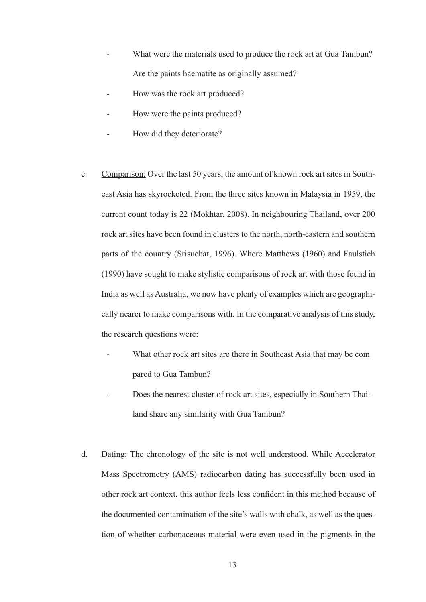- What were the materials used to produce the rock art at Gua Tambun? Are the paints haematite as originally assumed?
- How was the rock art produced?
- How were the paints produced?
- How did they deteriorate?
- c. Comparison: Over the last 50 years, the amount of known rock art sites in Southeast Asia has skyrocketed. From the three sites known in Malaysia in 1959, the current count today is 22 (Mokhtar, 2008). In neighbouring Thailand, over 200 rock art sites have been found in clusters to the north, north-eastern and southern parts of the country (Srisuchat, 1996). Where Matthews (1960) and Faulstich (1990) have sought to make stylistic comparisons of rock art with those found in India as well as Australia, we now have plenty of examples which are geographically nearer to make comparisons with. In the comparative analysis of this study, the research questions were:
	- What other rock art sites are there in Southeast Asia that may be compared to Gua Tambun?
	- Does the nearest cluster of rock art sites, especially in Southern Thailand share any similarity with Gua Tambun?
- d. Dating: The chronology of the site is not well understood. While Accelerator Mass Spectrometry (AMS) radiocarbon dating has successfully been used in other rock art context, this author feels less confident in this method because of the documented contamination of the site's walls with chalk, as well as the question of whether carbonaceous material were even used in the pigments in the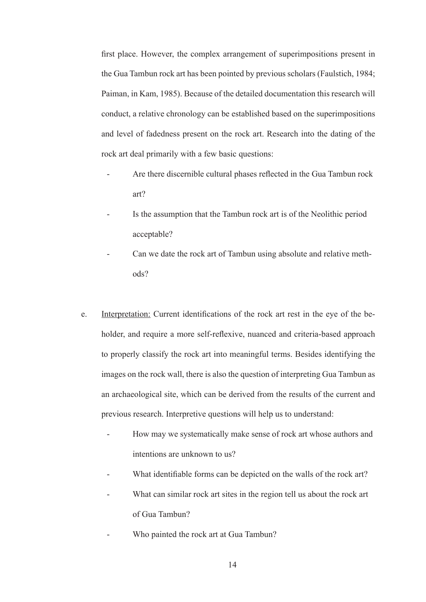first place. However, the complex arrangement of superimpositions present in the Gua Tambun rock art has been pointed by previous scholars (Faulstich, 1984; Paiman, in Kam, 1985). Because of the detailed documentation this research will conduct, a relative chronology can be established based on the superimpositions and level of fadedness present on the rock art. Research into the dating of the rock art deal primarily with a few basic questions:

- Are there discernible cultural phases reflected in the Gua Tambun rock art?
- Is the assumption that the Tambun rock art is of the Neolithic period acceptable?
- Can we date the rock art of Tambun using absolute and relative methods?
- e. Interpretation: Current identifications of the rock art rest in the eye of the beholder, and require a more self-reflexive, nuanced and criteria-based approach to properly classify the rock art into meaningful terms. Besides identifying the images on the rock wall, there is also the question of interpreting Gua Tambun as an archaeological site, which can be derived from the results of the current and previous research. Interpretive questions will help us to understand:
	- How may we systematically make sense of rock art whose authors and intentions are unknown to us?
	- What identifiable forms can be depicted on the walls of the rock art?
	- What can similar rock art sites in the region tell us about the rock art of Gua Tambun?
	- Who painted the rock art at Gua Tambun?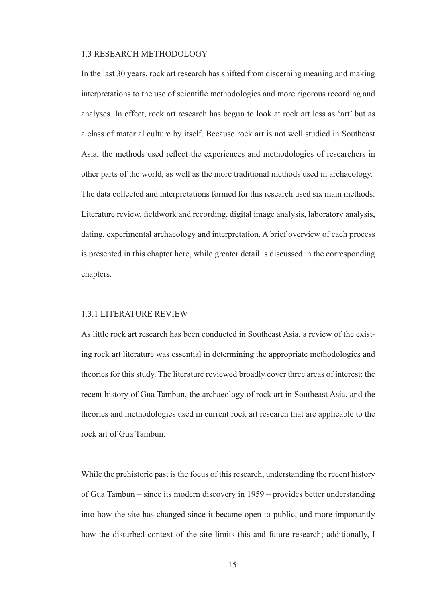### 1.3 RESEARCH METHODOLOGY

In the last 30 years, rock art research has shifted from discerning meaning and making interpretations to the use of scientific methodologies and more rigorous recording and analyses. In effect, rock art research has begun to look at rock art less as 'art' but as a class of material culture by itself. Because rock art is not well studied in Southeast Asia, the methods used reflect the experiences and methodologies of researchers in other parts of the world, as well as the more traditional methods used in archaeology. The data collected and interpretations formed for this research used six main methods: Literature review, fieldwork and recording, digital image analysis, laboratory analysis, dating, experimental archaeology and interpretation. A brief overview of each process is presented in this chapter here, while greater detail is discussed in the corresponding chapters.

#### 1.3.1 LITERATURE REVIEW

As little rock art research has been conducted in Southeast Asia, a review of the existing rock art literature was essential in determining the appropriate methodologies and theories for this study. The literature reviewed broadly cover three areas of interest: the recent history of Gua Tambun, the archaeology of rock art in Southeast Asia, and the theories and methodologies used in current rock art research that are applicable to the rock art of Gua Tambun.

While the prehistoric past is the focus of this research, understanding the recent history of Gua Tambun – since its modern discovery in 1959 – provides better understanding into how the site has changed since it became open to public, and more importantly how the disturbed context of the site limits this and future research; additionally, I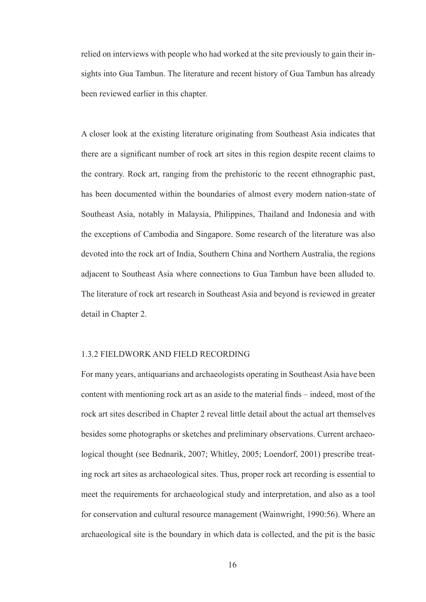relied on interviews with people who had worked at the site previously to gain their insights into Gua Tambun. The literature and recent history of Gua Tambun has already been reviewed earlier in this chapter.

A closer look at the existing literature originating from Southeast Asia indicates that there are a significant number of rock art sites in this region despite recent claims to the contrary. Rock art, ranging from the prehistoric to the recent ethnographic past, has been documented within the boundaries of almost every modern nation-state of Southeast Asia, notably in Malaysia, Philippines, Thailand and Indonesia and with the exceptions of Cambodia and Singapore. Some research of the literature was also devoted into the rock art of India, Southern China and Northern Australia, the regions adjacent to Southeast Asia where connections to Gua Tambun have been alluded to. The literature of rock art research in Southeast Asia and beyond is reviewed in greater detail in Chapter 2.

#### 1.3.2 FIELDWORK AND FIELD RECORDING

For many years, antiquarians and archaeologists operating in Southeast Asia have been content with mentioning rock art as an aside to the material finds – indeed, most of the rock art sites described in Chapter 2 reveal little detail about the actual art themselves besides some photographs or sketches and preliminary observations. Current archaeological thought (see Bednarik, 2007; Whitley, 2005; Loendorf, 2001) prescribe treating rock art sites as archaeological sites. Thus, proper rock art recording is essential to meet the requirements for archaeological study and interpretation, and also as a tool for conservation and cultural resource management (Wainwright, 1990:56). Where an archaeological site is the boundary in which data is collected, and the pit is the basic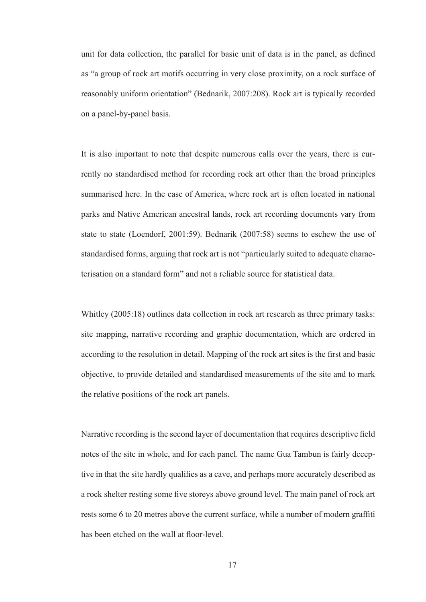unit for data collection, the parallel for basic unit of data is in the panel, as defined as "a group of rock art motifs occurring in very close proximity, on a rock surface of reasonably uniform orientation" (Bednarik, 2007:208). Rock art is typically recorded on a panel-by-panel basis.

It is also important to note that despite numerous calls over the years, there is currently no standardised method for recording rock art other than the broad principles summarised here. In the case of America, where rock art is often located in national parks and Native American ancestral lands, rock art recording documents vary from state to state (Loendorf, 2001:59). Bednarik (2007:58) seems to eschew the use of standardised forms, arguing that rock art is not "particularly suited to adequate characterisation on a standard form" and not a reliable source for statistical data.

Whitley (2005:18) outlines data collection in rock art research as three primary tasks: site mapping, narrative recording and graphic documentation, which are ordered in according to the resolution in detail. Mapping of the rock art sites is the first and basic objective, to provide detailed and standardised measurements of the site and to mark the relative positions of the rock art panels.

Narrative recording is the second layer of documentation that requires descriptive field notes of the site in whole, and for each panel. The name Gua Tambun is fairly deceptive in that the site hardly qualifies as a cave, and perhaps more accurately described as a rock shelter resting some five storeys above ground level. The main panel of rock art rests some 6 to 20 metres above the current surface, while a number of modern graffiti has been etched on the wall at floor-level.

17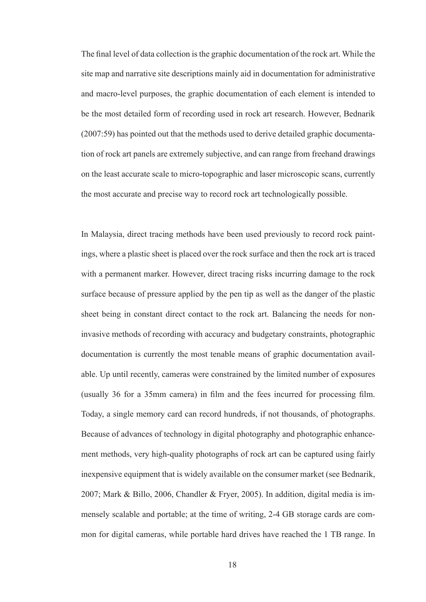The final level of data collection is the graphic documentation of the rock art. While the site map and narrative site descriptions mainly aid in documentation for administrative and macro-level purposes, the graphic documentation of each element is intended to be the most detailed form of recording used in rock art research. However, Bednarik (2007:59) has pointed out that the methods used to derive detailed graphic documentation of rock art panels are extremely subjective, and can range from freehand drawings on the least accurate scale to micro-topographic and laser microscopic scans, currently the most accurate and precise way to record rock art technologically possible.

In Malaysia, direct tracing methods have been used previously to record rock paintings, where a plastic sheet is placed over the rock surface and then the rock art is traced with a permanent marker. However, direct tracing risks incurring damage to the rock surface because of pressure applied by the pen tip as well as the danger of the plastic sheet being in constant direct contact to the rock art. Balancing the needs for noninvasive methods of recording with accuracy and budgetary constraints, photographic documentation is currently the most tenable means of graphic documentation available. Up until recently, cameras were constrained by the limited number of exposures (usually 36 for a 35mm camera) in film and the fees incurred for processing film. Today, a single memory card can record hundreds, if not thousands, of photographs. Because of advances of technology in digital photography and photographic enhancement methods, very high-quality photographs of rock art can be captured using fairly inexpensive equipment that is widely available on the consumer market (see Bednarik, 2007; Mark & Billo, 2006, Chandler & Fryer, 2005). In addition, digital media is immensely scalable and portable; at the time of writing, 2-4 GB storage cards are common for digital cameras, while portable hard drives have reached the 1 TB range. In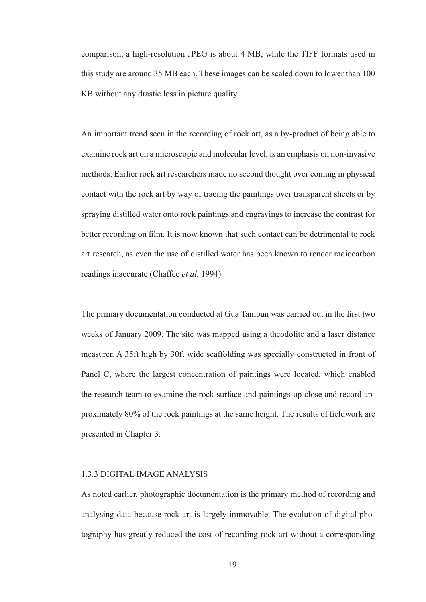comparison, a high-resolution JPEG is about 4 MB, while the TIFF formats used in this study are around 35 MB each. These images can be scaled down to lower than 100 KB without any drastic loss in picture quality.

An important trend seen in the recording of rock art, as a by-product of being able to examine rock art on a microscopic and molecular level, is an emphasis on non-invasive methods. Earlier rock art researchers made no second thought over coming in physical contact with the rock art by way of tracing the paintings over transparent sheets or by spraying distilled water onto rock paintings and engravings to increase the contrast for better recording on film. It is now known that such contact can be detrimental to rock art research, as even the use of distilled water has been known to render radiocarbon readings inaccurate (Chaffee *et al*, 1994).

The primary documentation conducted at Gua Tambun was carried out in the first two weeks of January 2009. The site was mapped using a theodolite and a laser distance measurer. A 35ft high by 30ft wide scaffolding was specially constructed in front of Panel C, where the largest concentration of paintings were located, which enabled the research team to examine the rock surface and paintings up close and record approximately 80% of the rock paintings at the same height. The results of fieldwork are presented in Chapter 3.

### 1.3.3 DIGITAL IMAGE ANALYSIS

As noted earlier, photographic documentation is the primary method of recording and analysing data because rock art is largely immovable. The evolution of digital photography has greatly reduced the cost of recording rock art without a corresponding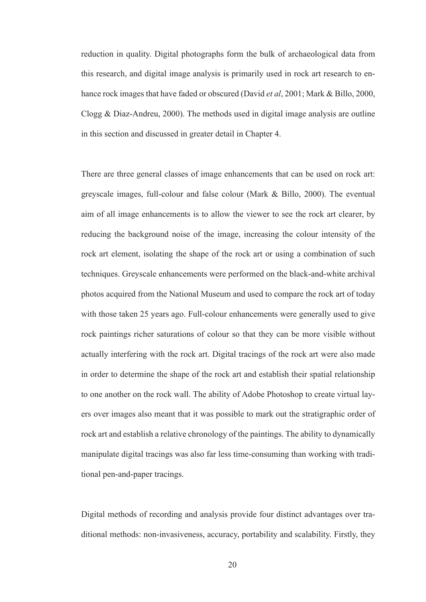reduction in quality. Digital photographs form the bulk of archaeological data from this research, and digital image analysis is primarily used in rock art research to enhance rock images that have faded or obscured (David *et al*, 2001; Mark & Billo, 2000, Clogg & Diaz-Andreu, 2000). The methods used in digital image analysis are outline in this section and discussed in greater detail in Chapter 4.

There are three general classes of image enhancements that can be used on rock art: greyscale images, full-colour and false colour (Mark & Billo, 2000). The eventual aim of all image enhancements is to allow the viewer to see the rock art clearer, by reducing the background noise of the image, increasing the colour intensity of the rock art element, isolating the shape of the rock art or using a combination of such techniques. Greyscale enhancements were performed on the black-and-white archival photos acquired from the National Museum and used to compare the rock art of today with those taken 25 years ago. Full-colour enhancements were generally used to give rock paintings richer saturations of colour so that they can be more visible without actually interfering with the rock art. Digital tracings of the rock art were also made in order to determine the shape of the rock art and establish their spatial relationship to one another on the rock wall. The ability of Adobe Photoshop to create virtual layers over images also meant that it was possible to mark out the stratigraphic order of rock art and establish a relative chronology of the paintings. The ability to dynamically manipulate digital tracings was also far less time-consuming than working with traditional pen-and-paper tracings.

Digital methods of recording and analysis provide four distinct advantages over traditional methods: non-invasiveness, accuracy, portability and scalability. Firstly, they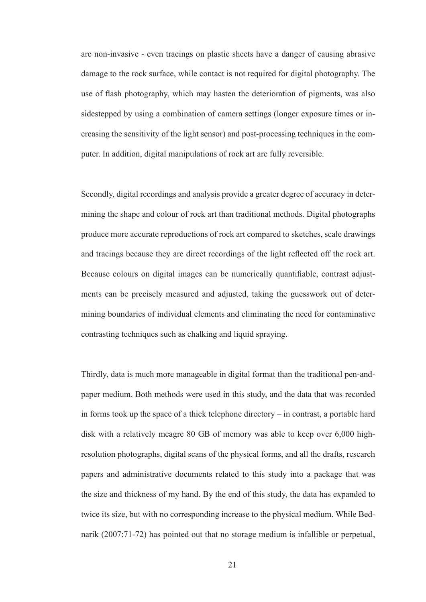are non-invasive - even tracings on plastic sheets have a danger of causing abrasive damage to the rock surface, while contact is not required for digital photography. The use of flash photography, which may hasten the deterioration of pigments, was also sidestepped by using a combination of camera settings (longer exposure times or increasing the sensitivity of the light sensor) and post-processing techniques in the computer. In addition, digital manipulations of rock art are fully reversible.

Secondly, digital recordings and analysis provide a greater degree of accuracy in determining the shape and colour of rock art than traditional methods. Digital photographs produce more accurate reproductions of rock art compared to sketches, scale drawings and tracings because they are direct recordings of the light reflected off the rock art. Because colours on digital images can be numerically quantifiable, contrast adjustments can be precisely measured and adjusted, taking the guesswork out of determining boundaries of individual elements and eliminating the need for contaminative contrasting techniques such as chalking and liquid spraying.

Thirdly, data is much more manageable in digital format than the traditional pen-andpaper medium. Both methods were used in this study, and the data that was recorded in forms took up the space of a thick telephone directory – in contrast, a portable hard disk with a relatively meagre 80 GB of memory was able to keep over 6,000 highresolution photographs, digital scans of the physical forms, and all the drafts, research papers and administrative documents related to this study into a package that was the size and thickness of my hand. By the end of this study, the data has expanded to twice its size, but with no corresponding increase to the physical medium. While Bednarik (2007:71-72) has pointed out that no storage medium is infallible or perpetual,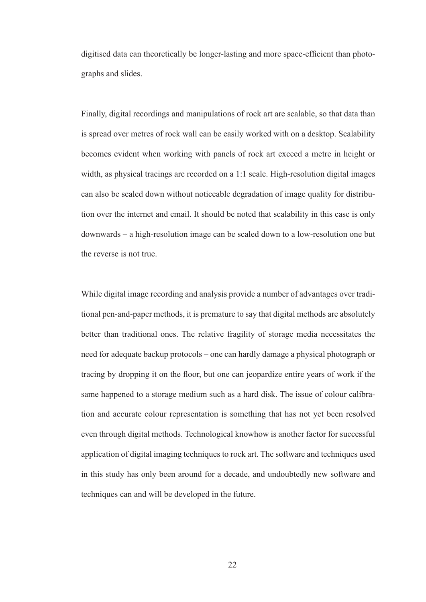digitised data can theoretically be longer-lasting and more space-efficient than photographs and slides.

Finally, digital recordings and manipulations of rock art are scalable, so that data than is spread over metres of rock wall can be easily worked with on a desktop. Scalability becomes evident when working with panels of rock art exceed a metre in height or width, as physical tracings are recorded on a 1:1 scale. High-resolution digital images can also be scaled down without noticeable degradation of image quality for distribution over the internet and email. It should be noted that scalability in this case is only downwards – a high-resolution image can be scaled down to a low-resolution one but the reverse is not true.

While digital image recording and analysis provide a number of advantages over traditional pen-and-paper methods, it is premature to say that digital methods are absolutely better than traditional ones. The relative fragility of storage media necessitates the need for adequate backup protocols – one can hardly damage a physical photograph or tracing by dropping it on the floor, but one can jeopardize entire years of work if the same happened to a storage medium such as a hard disk. The issue of colour calibration and accurate colour representation is something that has not yet been resolved even through digital methods. Technological knowhow is another factor for successful application of digital imaging techniques to rock art. The software and techniques used in this study has only been around for a decade, and undoubtedly new software and techniques can and will be developed in the future.

22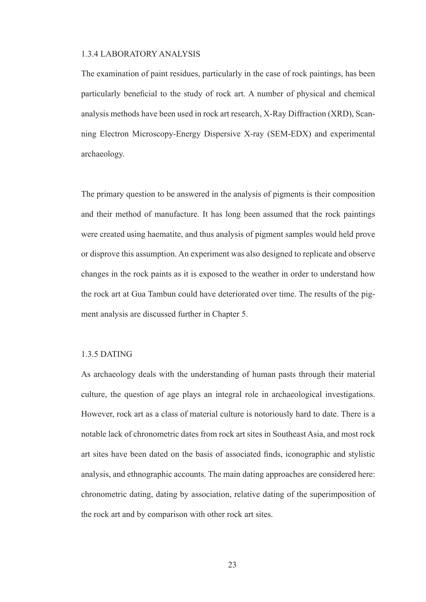#### 1.3.4 LABORATORY ANALYSIS

The examination of paint residues, particularly in the case of rock paintings, has been particularly beneficial to the study of rock art. A number of physical and chemical analysis methods have been used in rock art research, X-Ray Diffraction (XRD), Scanning Electron Microscopy-Energy Dispersive X-ray (SEM-EDX) and experimental archaeology.

The primary question to be answered in the analysis of pigments is their composition and their method of manufacture. It has long been assumed that the rock paintings were created using haematite, and thus analysis of pigment samples would held prove or disprove this assumption. An experiment was also designed to replicate and observe changes in the rock paints as it is exposed to the weather in order to understand how the rock art at Gua Tambun could have deteriorated over time. The results of the pigment analysis are discussed further in Chapter 5.

#### 1.3.5 DATING

As archaeology deals with the understanding of human pasts through their material culture, the question of age plays an integral role in archaeological investigations. However, rock art as a class of material culture is notoriously hard to date. There is a notable lack of chronometric dates from rock art sites in Southeast Asia, and most rock art sites have been dated on the basis of associated finds, iconographic and stylistic analysis, and ethnographic accounts. The main dating approaches are considered here: chronometric dating, dating by association, relative dating of the superimposition of the rock art and by comparison with other rock art sites.